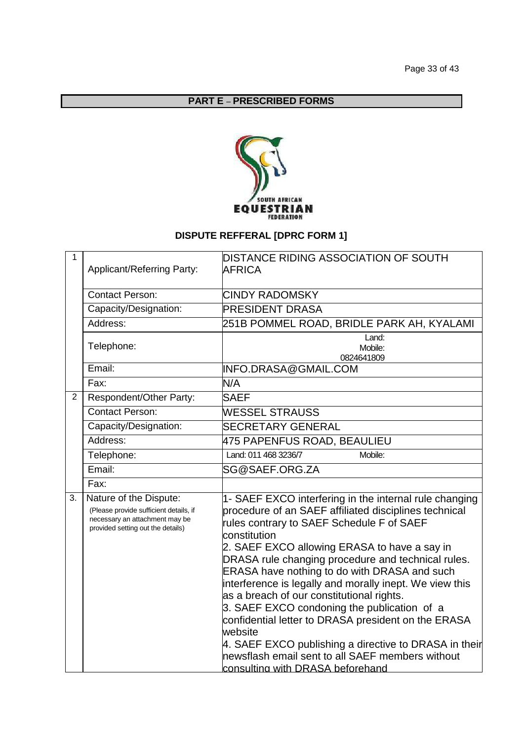## **PART E** – **PRESCRIBED FORMS**



## **DISPUTE REFFERAL [DPRC FORM 1]**

| $\mathbf{1}$ |                                                                                                                                         | <b>DISTANCE RIDING ASSOCIATION OF SOUTH</b>                                                                                                                                                                                                                                                                                                                                                                                                                                                                                                                                                                                                                                                                         |  |  |
|--------------|-----------------------------------------------------------------------------------------------------------------------------------------|---------------------------------------------------------------------------------------------------------------------------------------------------------------------------------------------------------------------------------------------------------------------------------------------------------------------------------------------------------------------------------------------------------------------------------------------------------------------------------------------------------------------------------------------------------------------------------------------------------------------------------------------------------------------------------------------------------------------|--|--|
|              | Applicant/Referring Party:                                                                                                              | <b>AFRICA</b>                                                                                                                                                                                                                                                                                                                                                                                                                                                                                                                                                                                                                                                                                                       |  |  |
|              |                                                                                                                                         |                                                                                                                                                                                                                                                                                                                                                                                                                                                                                                                                                                                                                                                                                                                     |  |  |
|              | <b>Contact Person:</b>                                                                                                                  | <b>CINDY RADOMSKY</b>                                                                                                                                                                                                                                                                                                                                                                                                                                                                                                                                                                                                                                                                                               |  |  |
|              | Capacity/Designation:                                                                                                                   | <b>PRESIDENT DRASA</b>                                                                                                                                                                                                                                                                                                                                                                                                                                                                                                                                                                                                                                                                                              |  |  |
|              | Address:                                                                                                                                | 251B POMMEL ROAD, BRIDLE PARK AH, KYALAMI                                                                                                                                                                                                                                                                                                                                                                                                                                                                                                                                                                                                                                                                           |  |  |
|              | Telephone:                                                                                                                              | Land:<br>Mobile:<br>0824641809                                                                                                                                                                                                                                                                                                                                                                                                                                                                                                                                                                                                                                                                                      |  |  |
|              | Email:                                                                                                                                  | INFO.DRASA@GMAIL.COM                                                                                                                                                                                                                                                                                                                                                                                                                                                                                                                                                                                                                                                                                                |  |  |
|              | Fax:                                                                                                                                    | N/A                                                                                                                                                                                                                                                                                                                                                                                                                                                                                                                                                                                                                                                                                                                 |  |  |
| 2            | Respondent/Other Party:                                                                                                                 | <b>SAEF</b>                                                                                                                                                                                                                                                                                                                                                                                                                                                                                                                                                                                                                                                                                                         |  |  |
|              | <b>Contact Person:</b>                                                                                                                  | <b>WESSEL STRAUSS</b>                                                                                                                                                                                                                                                                                                                                                                                                                                                                                                                                                                                                                                                                                               |  |  |
|              | Capacity/Designation:                                                                                                                   | <b>SECRETARY GENERAL</b>                                                                                                                                                                                                                                                                                                                                                                                                                                                                                                                                                                                                                                                                                            |  |  |
|              | Address:                                                                                                                                | 475 PAPENFUS ROAD, BEAULIEU                                                                                                                                                                                                                                                                                                                                                                                                                                                                                                                                                                                                                                                                                         |  |  |
|              | Telephone:                                                                                                                              | Land: 011 468 3236/7<br>Mobile:                                                                                                                                                                                                                                                                                                                                                                                                                                                                                                                                                                                                                                                                                     |  |  |
|              | Email:                                                                                                                                  | SG@SAEF.ORG.ZA                                                                                                                                                                                                                                                                                                                                                                                                                                                                                                                                                                                                                                                                                                      |  |  |
|              | Fax:                                                                                                                                    |                                                                                                                                                                                                                                                                                                                                                                                                                                                                                                                                                                                                                                                                                                                     |  |  |
| 3.           | Nature of the Dispute:<br>(Please provide sufficient details, if<br>necessary an attachment may be<br>provided setting out the details) | 1- SAEF EXCO interfering in the internal rule changing<br>procedure of an SAEF affiliated disciplines technical<br>rules contrary to SAEF Schedule F of SAEF<br>constitution<br>2. SAEF EXCO allowing ERASA to have a say in<br>DRASA rule changing procedure and technical rules.<br><b>ERASA have nothing to do with DRASA and such</b><br>interference is legally and morally inept. We view this<br>as a breach of our constitutional rights.<br>3. SAEF EXCO condoning the publication of a<br>confidential letter to DRASA president on the ERASA<br>website<br>4. SAEF EXCO publishing a directive to DRASA in their<br>newsflash email sent to all SAEF members without<br>consulting with DRASA beforehand |  |  |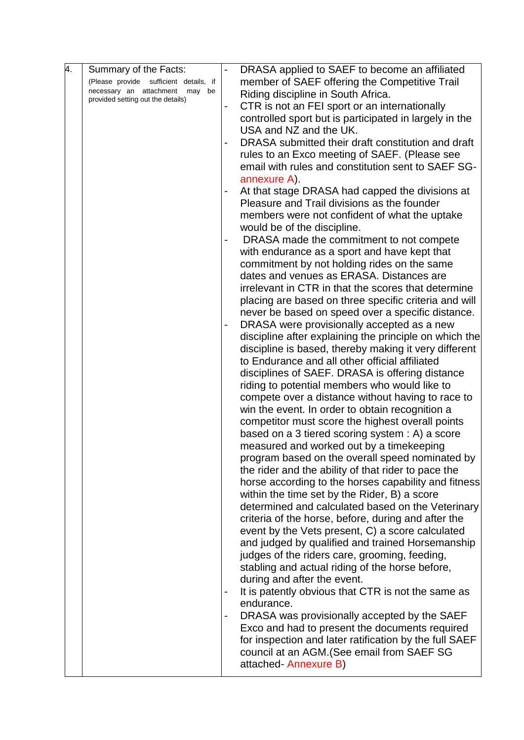| 4. | Summary of the Facts:                                                  |                                               | DRASA applied to SAEF to become an affiliated          |
|----|------------------------------------------------------------------------|-----------------------------------------------|--------------------------------------------------------|
|    | (Please provide sufficient details, if                                 | member of SAEF offering the Competitive Trail |                                                        |
|    | necessary an attachment<br>may be<br>provided setting out the details) |                                               | Riding discipline in South Africa.                     |
|    |                                                                        |                                               | CTR is not an FEI sport or an internationally          |
|    |                                                                        |                                               | controlled sport but is participated in largely in the |
|    |                                                                        |                                               | USA and NZ and the UK.                                 |
|    |                                                                        |                                               | DRASA submitted their draft constitution and draft     |
|    |                                                                        |                                               | rules to an Exco meeting of SAEF. (Please see          |
|    |                                                                        |                                               | email with rules and constitution sent to SAEF SG-     |
|    |                                                                        |                                               | annexure A).                                           |
|    |                                                                        |                                               | At that stage DRASA had capped the divisions at        |
|    |                                                                        |                                               | Pleasure and Trail divisions as the founder            |
|    |                                                                        |                                               | members were not confident of what the uptake          |
|    |                                                                        |                                               | would be of the discipline.                            |
|    |                                                                        |                                               | DRASA made the commitment to not compete               |
|    |                                                                        |                                               | with endurance as a sport and have kept that           |
|    |                                                                        |                                               | commitment by not holding rides on the same            |
|    |                                                                        |                                               | dates and venues as ERASA. Distances are               |
|    |                                                                        |                                               | irrelevant in CTR in that the scores that determine    |
|    |                                                                        |                                               | placing are based on three specific criteria and will  |
|    |                                                                        |                                               | never be based on speed over a specific distance.      |
|    |                                                                        |                                               | DRASA were provisionally accepted as a new             |
|    |                                                                        |                                               | discipline after explaining the principle on which the |
|    |                                                                        |                                               | discipline is based, thereby making it very different  |
|    |                                                                        |                                               | to Endurance and all other official affiliated         |
|    |                                                                        |                                               | disciplines of SAEF. DRASA is offering distance        |
|    |                                                                        |                                               | riding to potential members who would like to          |
|    |                                                                        |                                               | compete over a distance without having to race to      |
|    |                                                                        |                                               | win the event. In order to obtain recognition a        |
|    |                                                                        |                                               | competitor must score the highest overall points       |
|    |                                                                        |                                               | based on a 3 tiered scoring system : A) a score        |
|    |                                                                        |                                               | measured and worked out by a timekeeping               |
|    |                                                                        |                                               | program based on the overall speed nominated by        |
|    |                                                                        |                                               | the rider and the ability of that rider to pace the    |
|    |                                                                        |                                               | horse according to the horses capability and fitness   |
|    |                                                                        |                                               | within the time set by the Rider, B) a score           |
|    |                                                                        |                                               | determined and calculated based on the Veterinary      |
|    |                                                                        |                                               | criteria of the horse, before, during and after the    |
|    |                                                                        |                                               | event by the Vets present, C) a score calculated       |
|    |                                                                        |                                               | and judged by qualified and trained Horsemanship       |
|    |                                                                        |                                               | judges of the riders care, grooming, feeding,          |
|    |                                                                        |                                               | stabling and actual riding of the horse before,        |
|    |                                                                        |                                               | during and after the event.                            |
|    |                                                                        |                                               | It is patently obvious that CTR is not the same as     |
|    |                                                                        |                                               | endurance.                                             |
|    |                                                                        |                                               | DRASA was provisionally accepted by the SAEF           |
|    |                                                                        |                                               | Exco and had to present the documents required         |
|    |                                                                        |                                               | for inspection and later ratification by the full SAEF |
|    |                                                                        |                                               | council at an AGM. (See email from SAEF SG             |
|    |                                                                        |                                               | attached-Annexure B)                                   |
|    |                                                                        |                                               |                                                        |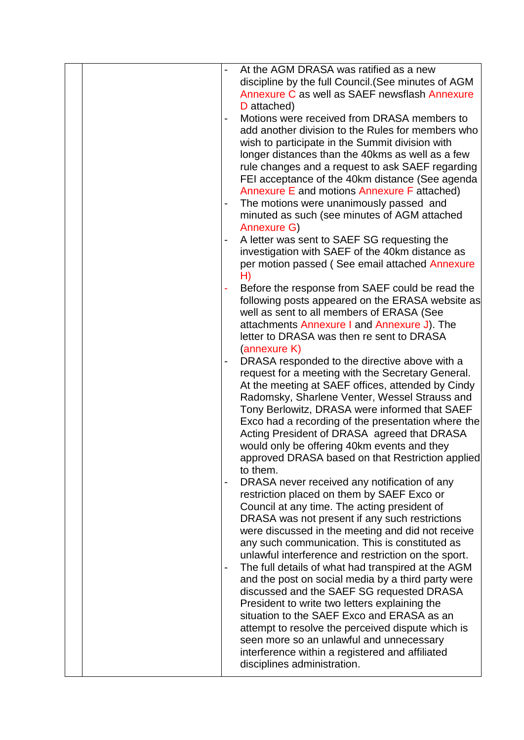|  |   | At the AGM DRASA was ratified as a new                                                        |
|--|---|-----------------------------------------------------------------------------------------------|
|  |   | discipline by the full Council. (See minutes of AGM                                           |
|  |   | Annexure C as well as SAEF newsflash Annexure                                                 |
|  |   | D attached)                                                                                   |
|  |   | Motions were received from DRASA members to                                                   |
|  |   | add another division to the Rules for members who                                             |
|  |   | wish to participate in the Summit division with                                               |
|  |   | longer distances than the 40kms as well as a few                                              |
|  |   | rule changes and a request to ask SAEF regarding                                              |
|  |   | FEI acceptance of the 40km distance (See agenda                                               |
|  |   | Annexure E and motions Annexure F attached)                                                   |
|  |   | The motions were unanimously passed and                                                       |
|  |   | minuted as such (see minutes of AGM attached                                                  |
|  |   | Annexure G)                                                                                   |
|  |   | A letter was sent to SAEF SG requesting the                                                   |
|  |   | investigation with SAEF of the 40km distance as                                               |
|  |   | per motion passed (See email attached Annexure                                                |
|  |   | H)                                                                                            |
|  |   | Before the response from SAEF could be read the                                               |
|  |   | following posts appeared on the ERASA website as                                              |
|  |   | well as sent to all members of ERASA (See                                                     |
|  |   | attachments Annexure I and Annexure J). The                                                   |
|  |   | letter to DRASA was then re sent to DRASA                                                     |
|  |   | (annexure K)                                                                                  |
|  |   | DRASA responded to the directive above with a                                                 |
|  |   | request for a meeting with the Secretary General.                                             |
|  |   | At the meeting at SAEF offices, attended by Cindy                                             |
|  |   | Radomsky, Sharlene Venter, Wessel Strauss and                                                 |
|  |   | Tony Berlowitz, DRASA were informed that SAEF                                                 |
|  |   | Exco had a recording of the presentation where the                                            |
|  |   | Acting President of DRASA agreed that DRASA                                                   |
|  |   | would only be offering 40km events and they                                                   |
|  |   | approved DRASA based on that Restriction applied                                              |
|  |   | to them.                                                                                      |
|  | - | DRASA never received any notification of any                                                  |
|  |   | restriction placed on them by SAEF Exco or                                                    |
|  |   | Council at any time. The acting president of                                                  |
|  |   | DRASA was not present if any such restrictions                                                |
|  |   | were discussed in the meeting and did not receive                                             |
|  |   | any such communication. This is constituted as                                                |
|  |   | unlawful interference and restriction on the sport.                                           |
|  |   | The full details of what had transpired at the AGM                                            |
|  |   | and the post on social media by a third party were                                            |
|  |   | discussed and the SAEF SG requested DRASA                                                     |
|  |   | President to write two letters explaining the<br>situation to the SAEF Exco and ERASA as an   |
|  |   |                                                                                               |
|  |   | attempt to resolve the perceived dispute which is<br>seen more so an unlawful and unnecessary |
|  |   | interference within a registered and affiliated                                               |
|  |   | disciplines administration.                                                                   |
|  |   |                                                                                               |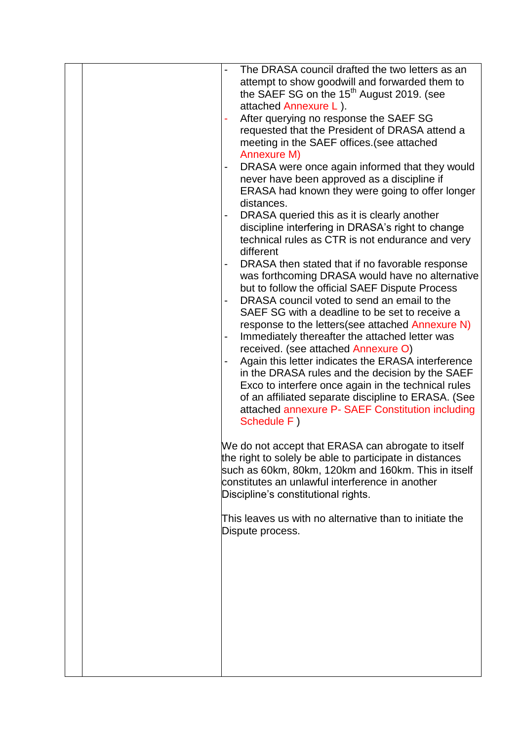|  | The DRASA council drafted the two letters as an         |
|--|---------------------------------------------------------|
|  | attempt to show goodwill and forwarded them to          |
|  | the SAEF SG on the $15th$ August 2019. (see             |
|  | attached Annexure L).                                   |
|  | After querying no response the SAEF SG                  |
|  | requested that the President of DRASA attend a          |
|  | meeting in the SAEF offices. (see attached              |
|  | Annexure M)                                             |
|  | DRASA were once again informed that they would          |
|  | never have been approved as a discipline if             |
|  | ERASA had known they were going to offer longer         |
|  | distances.                                              |
|  | DRASA queried this as it is clearly another             |
|  | discipline interfering in DRASA's right to change       |
|  | technical rules as CTR is not endurance and very        |
|  | different                                               |
|  | DRASA then stated that if no favorable response         |
|  | was forthcoming DRASA would have no alternative         |
|  | but to follow the official SAEF Dispute Process         |
|  | DRASA council voted to send an email to the             |
|  | SAEF SG with a deadline to be set to receive a          |
|  | response to the letters (see attached Annexure N)       |
|  | Immediately thereafter the attached letter was          |
|  | received. (see attached Annexure O)                     |
|  | Again this letter indicates the ERASA interference      |
|  | in the DRASA rules and the decision by the SAEF         |
|  | Exco to interfere once again in the technical rules     |
|  | of an affiliated separate discipline to ERASA. (See     |
|  | attached annexure P- SAEF Constitution including        |
|  | Schedule F)                                             |
|  |                                                         |
|  | We do not accept that ERASA can abrogate to itself      |
|  | the right to solely be able to participate in distances |
|  | such as 60km, 80km, 120km and 160km. This in itself     |
|  | constitutes an unlawful interference in another         |
|  | Discipline's constitutional rights.                     |
|  |                                                         |
|  | This leaves us with no alternative than to initiate the |
|  | Dispute process.                                        |
|  |                                                         |
|  |                                                         |
|  |                                                         |
|  |                                                         |
|  |                                                         |
|  |                                                         |
|  |                                                         |
|  |                                                         |
|  |                                                         |
|  |                                                         |
|  |                                                         |